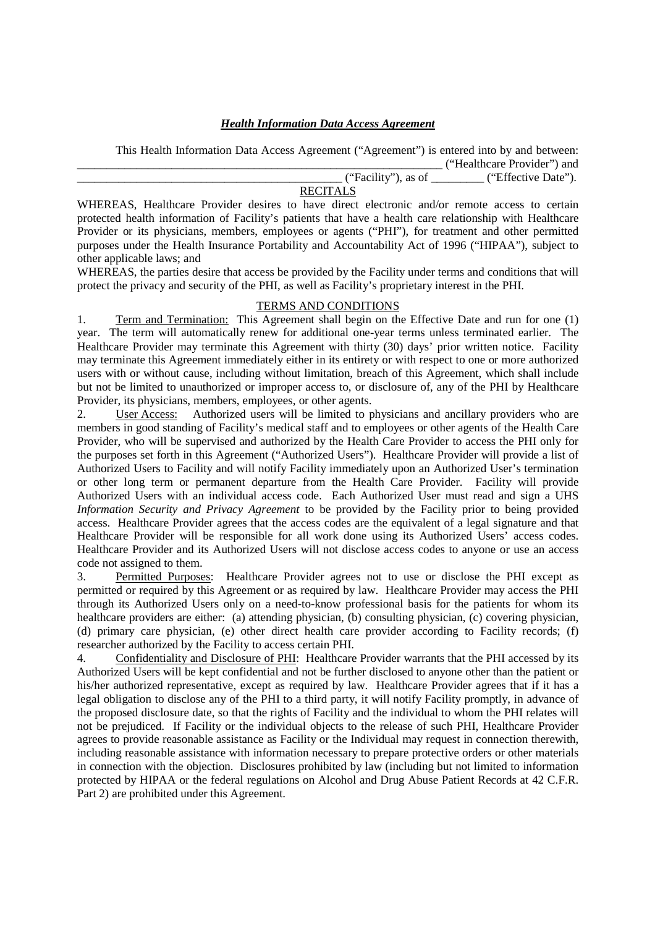## *Health Information Data Access Agreement*

 This Health Information Data Access Agreement ("Agreement") is entered into by and between: \_\_\_\_\_\_\_\_\_\_\_\_\_\_\_\_\_\_\_\_\_\_\_\_\_\_\_\_\_\_\_\_\_\_\_\_\_\_\_\_\_\_\_\_\_\_\_\_\_\_\_\_\_\_\_\_\_\_\_\_\_\_ ("Healthcare Provider") and \_\_\_\_\_\_\_\_\_\_\_\_\_\_\_\_\_\_\_\_\_\_\_\_\_\_\_\_\_\_\_\_\_\_\_\_\_\_\_\_\_\_\_\_\_ ("Facility"), as of \_\_\_\_\_\_\_\_\_ ("Effective Date").

## **RECITALS**

WHEREAS, Healthcare Provider desires to have direct electronic and/or remote access to certain protected health information of Facility's patients that have a health care relationship with Healthcare Provider or its physicians, members, employees or agents ("PHI"), for treatment and other permitted purposes under the Health Insurance Portability and Accountability Act of 1996 ("HIPAA"), subject to other applicable laws; and

WHEREAS, the parties desire that access be provided by the Facility under terms and conditions that will protect the privacy and security of the PHI, as well as Facility's proprietary interest in the PHI.

## TERMS AND CONDITIONS

1. Term and Termination: This Agreement shall begin on the Effective Date and run for one (1) year. The term will automatically renew for additional one-year terms unless terminated earlier. The Healthcare Provider may terminate this Agreement with thirty (30) days' prior written notice. Facility may terminate this Agreement immediately either in its entirety or with respect to one or more authorized users with or without cause, including without limitation, breach of this Agreement, which shall include but not be limited to unauthorized or improper access to, or disclosure of, any of the PHI by Healthcare Provider, its physicians, members, employees, or other agents.

2. User Access: Authorized users will be limited to physicians and ancillary providers who are members in good standing of Facility's medical staff and to employees or other agents of the Health Care Provider, who will be supervised and authorized by the Health Care Provider to access the PHI only for the purposes set forth in this Agreement ("Authorized Users"). Healthcare Provider will provide a list of Authorized Users to Facility and will notify Facility immediately upon an Authorized User's termination or other long term or permanent departure from the Health Care Provider. Facility will provide Authorized Users with an individual access code. Each Authorized User must read and sign a UHS *Information Security and Privacy Agreement* to be provided by the Facility prior to being provided access. Healthcare Provider agrees that the access codes are the equivalent of a legal signature and that Healthcare Provider will be responsible for all work done using its Authorized Users' access codes. Healthcare Provider and its Authorized Users will not disclose access codes to anyone or use an access code not assigned to them.

3. Permitted Purposes: Healthcare Provider agrees not to use or disclose the PHI except as permitted or required by this Agreement or as required by law. Healthcare Provider may access the PHI through its Authorized Users only on a need-to-know professional basis for the patients for whom its healthcare providers are either: (a) attending physician, (b) consulting physician, (c) covering physician, (d) primary care physician, (e) other direct health care provider according to Facility records; (f) researcher authorized by the Facility to access certain PHI.

4. Confidentiality and Disclosure of PHI: Healthcare Provider warrants that the PHI accessed by its Authorized Users will be kept confidential and not be further disclosed to anyone other than the patient or his/her authorized representative, except as required by law. Healthcare Provider agrees that if it has a legal obligation to disclose any of the PHI to a third party, it will notify Facility promptly, in advance of the proposed disclosure date, so that the rights of Facility and the individual to whom the PHI relates will not be prejudiced. If Facility or the individual objects to the release of such PHI, Healthcare Provider agrees to provide reasonable assistance as Facility or the Individual may request in connection therewith, including reasonable assistance with information necessary to prepare protective orders or other materials in connection with the objection. Disclosures prohibited by law (including but not limited to information protected by HIPAA or the federal regulations on Alcohol and Drug Abuse Patient Records at 42 C.F.R. Part 2) are prohibited under this Agreement.